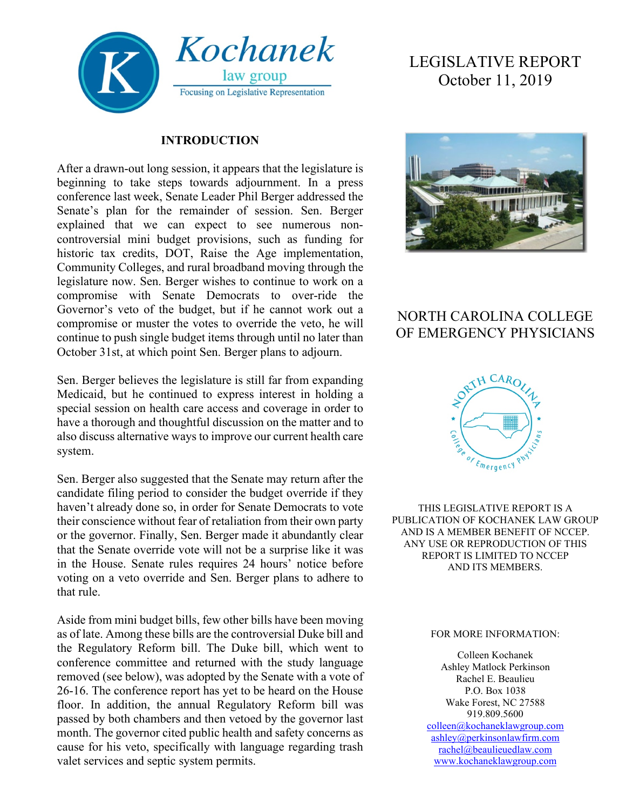

### **INTRODUCTION**

After a drawn-out long session, it appears that the legislature is beginning to take steps towards adjournment. In a press conference last week, Senate Leader Phil Berger addressed the Senate's plan for the remainder of session. Sen. Berger explained that we can expect to see numerous noncontroversial mini budget provisions, such as funding for historic tax credits, DOT, Raise the Age implementation, Community Colleges, and rural broadband moving through the legislature now. Sen. Berger wishes to continue to work on a compromise with Senate Democrats to over-ride the Governor's veto of the budget, but if he cannot work out a compromise or muster the votes to override the veto, he will continue to push single budget items through until no later than October 31st, at which point Sen. Berger plans to adjourn.

Sen. Berger believes the legislature is still far from expanding Medicaid, but he continued to express interest in holding a special session on health care access and coverage in order to have a thorough and thoughtful discussion on the matter and to also discuss alternative ways to improve our current health care system.

Sen. Berger also suggested that the Senate may return after the candidate filing period to consider the budget override if they haven't already done so, in order for Senate Democrats to vote their conscience without fear of retaliation from their own party or the governor. Finally, Sen. Berger made it abundantly clear that the Senate override vote will not be a surprise like it was in the House. Senate rules requires 24 hours' notice before voting on a veto override and Sen. Berger plans to adhere to that rule.

Aside from mini budget bills, few other bills have been moving as of late. Among these bills are the controversial Duke bill and the Regulatory Reform bill. The Duke bill, which went to conference committee and returned with the study language removed (see below), was adopted by the Senate with a vote of 26-16. The conference report has yet to be heard on the House floor. In addition, the annual Regulatory Reform bill was passed by both chambers and then vetoed by the governor last month. The governor cited public health and safety concerns as cause for his veto, specifically with language regarding trash valet services and septic system permits.

# LEGISLATIVE REPORT October 11, 2019



## NORTH CAROLINA COLLEGE OF EMERGENCY PHYSICIANS



THIS LEGISLATIVE REPORT IS A PUBLICATION OF KOCHANEK LAW GROUP AND IS A MEMBER BENEFIT OF NCCEP. ANY USE OR REPRODUCTION OF THIS REPORT IS LIMITED TO NCCEP AND ITS MEMBERS.

#### FOR MORE INFORMATION:

Colleen Kochanek Ashley Matlock Perkinson Rachel E. Beaulieu P.O. Box 1038 Wake Forest, NC 27588 919.809.5600 [colleen@kochaneklawgroup.com](mailto:colleen@kochaneklawgroup.com)

[ashley@perkinsonlawfirm.com](mailto:ashley@perkinsonlawfirm.com) [rachel@beaulieuedlaw.com](mailto:rachel@beaulieuedlaw.com) [www.kochaneklawgroup.com](http://www.kochaneklawgroup.com/)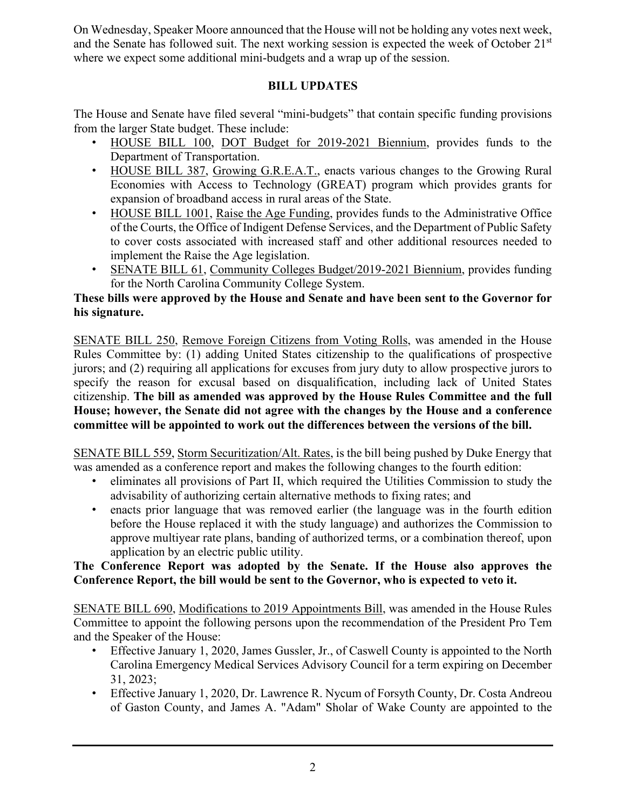On Wednesday, Speaker Moore announced that the House will not be holding any votes next week, and the Senate has followed suit. The next working session is expected the week of October  $21<sup>st</sup>$ where we expect some additional mini-budgets and a wrap up of the session.

## **BILL UPDATES**

The House and Senate have filed several "mini-budgets" that contain specific funding provisions from the larger State budget. These include:

- HOUSE BILL 100, DOT Budget for 2019-2021 Biennium, provides funds to the Department of Transportation.
- HOUSE BILL 387, Growing G.R.E.A.T., enacts various changes to the Growing Rural Economies with Access to Technology (GREAT) program which provides grants for expansion of broadband access in rural areas of the State.
- HOUSE BILL 1001, Raise the Age Funding, provides funds to the Administrative Office of the Courts, the Office of Indigent Defense Services, and the Department of Public Safety to cover costs associated with increased staff and other additional resources needed to implement the Raise the Age legislation.
- SENATE BILL 61, Community Colleges Budget/2019-2021 Biennium, provides funding for the North Carolina Community College System.

## **These bills were approved by the House and Senate and have been sent to the Governor for his signature.**

SENATE BILL 250, Remove Foreign Citizens from Voting Rolls, was amended in the House Rules Committee by: (1) adding United States citizenship to the qualifications of prospective jurors; and (2) requiring all applications for excuses from jury duty to allow prospective jurors to specify the reason for excusal based on disqualification, including lack of United States citizenship. **The bill as amended was approved by the House Rules Committee and the full House; however, the Senate did not agree with the changes by the House and a conference committee will be appointed to work out the differences between the versions of the bill.**

SENATE BILL 559, Storm Securitization/Alt. Rates, is the bill being pushed by Duke Energy that was amended as a conference report and makes the following changes to the fourth edition:

- eliminates all provisions of Part II, which required the Utilities Commission to study the advisability of authorizing certain alternative methods to fixing rates; and
- enacts prior language that was removed earlier (the language was in the fourth edition before the House replaced it with the study language) and authorizes the Commission to approve multiyear rate plans, banding of authorized terms, or a combination thereof, upon application by an electric public utility.

## **The Conference Report was adopted by the Senate. If the House also approves the Conference Report, the bill would be sent to the Governor, who is expected to veto it.**

SENATE BILL 690, Modifications to 2019 Appointments Bill, was amended in the House Rules Committee to appoint the following persons upon the recommendation of the President Pro Tem and the Speaker of the House:

- Effective January 1, 2020, James Gussler, Jr., of Caswell County is appointed to the North Carolina Emergency Medical Services Advisory Council for a term expiring on December 31, 2023;
- Effective January 1, 2020, Dr. Lawrence R. Nycum of Forsyth County, Dr. Costa Andreou of Gaston County, and James A. "Adam" Sholar of Wake County are appointed to the